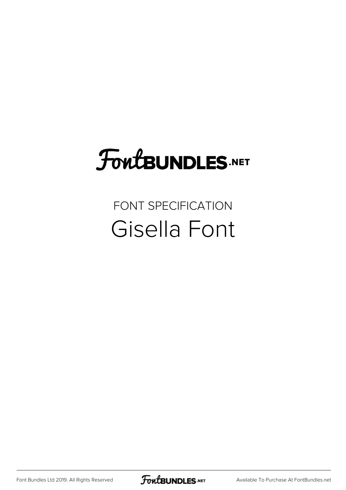# **FoutBUNDLES.NET**

## FONT SPECIFICATION Gisella Font

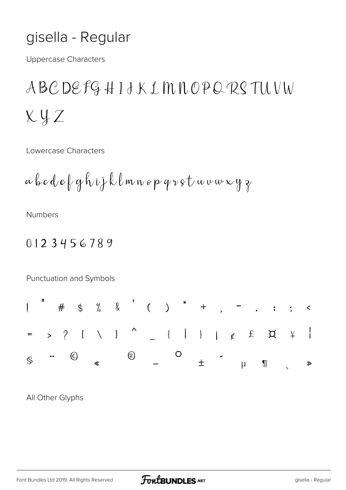## gisella - Regular

**Uppercase Characters** 

ABCDEFGHIJKLMNOPORSTUVW  $XYZ$ 

Lowercase Characters

$$
\alpha \, \beta \, c \, d \cdot e \, \beta \, g \, h \, \iota \, j \, k \, \ell \, m \, n \, s \, p \, q \, v \, s \, t \, \omega \, v \, w \, x \, y \, \gamma
$$

**Numbers** 

#### 0123456789

Punctuation and Symbols



All Other Glyphs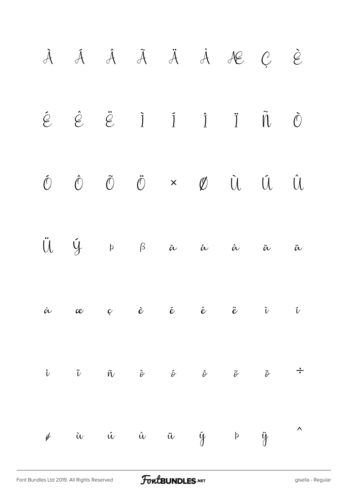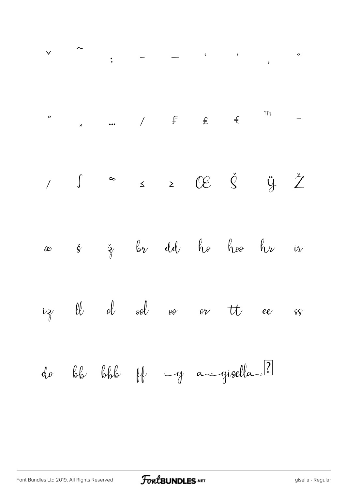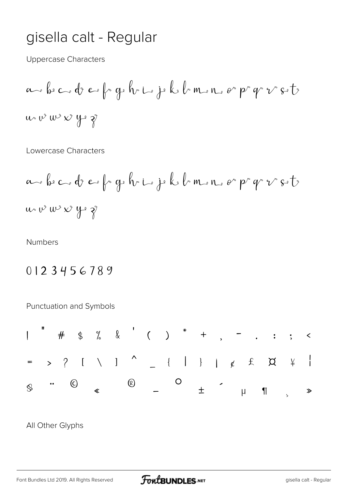## gisella calt - Regular

**Uppercase Characters** 

$$
a \sim b \sim c \cdot d \sim f \sim g \cdot h \sim i \cdot j \cdot k \cdot l \sim n \cdot e \sim p \cdot q \sim v \cdot s \cdot t
$$

Lowercase Characters

$$
a \rightarrow b \rightarrow c \rightarrow d \rightarrow e \rightarrow f \rightarrow h \rightarrow i \rightarrow k \rightarrow m \rightarrow n \rightarrow e \rightarrow p \rightarrow v \rightarrow e \rightarrow t \rightarrow
$$
  
\n $a \rightarrow v \rightarrow w \rightarrow v \rightarrow g \rightarrow h \rightarrow i \rightarrow j \rightarrow k \rightarrow m \rightarrow n \rightarrow e \rightarrow p \rightarrow v \rightarrow t \rightarrow$ 

**Numbers** 

### 0123456789

Punctuation and Symbols



All Other Glyphs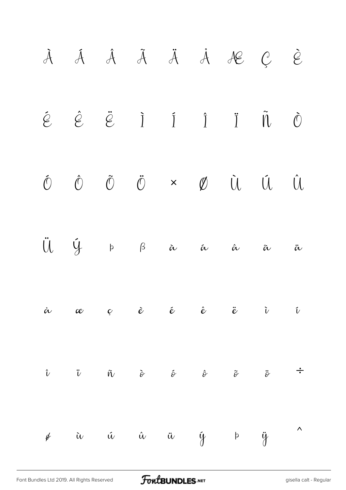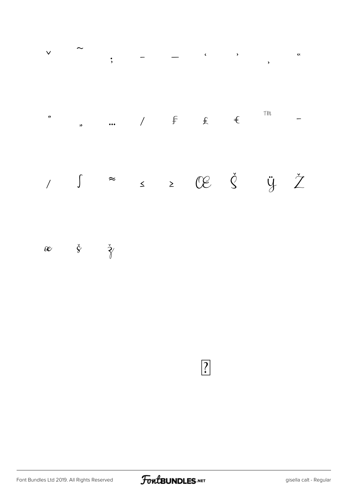

 $\check{g}$   $\check{\gamma}$  $\mathcal{C}$ 

 $\boxed{?}$ 

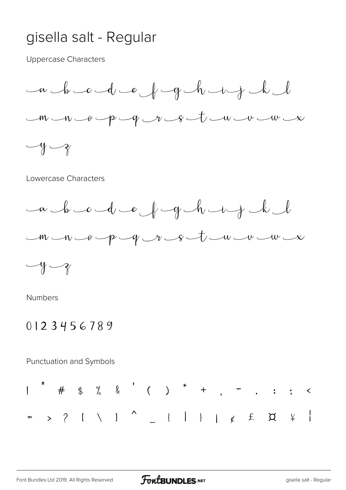## gisella salt - Regular

**Uppercase Characters** 



#### Lowercase Characters



**Numbers** 

#### 0123456789

Punctuation and Symbols

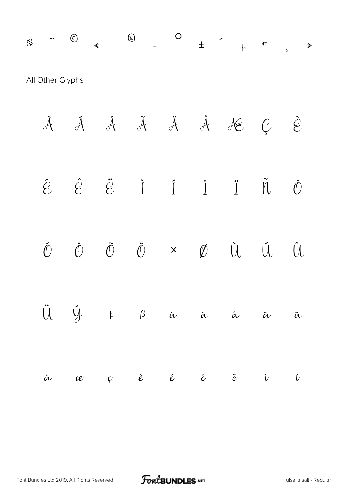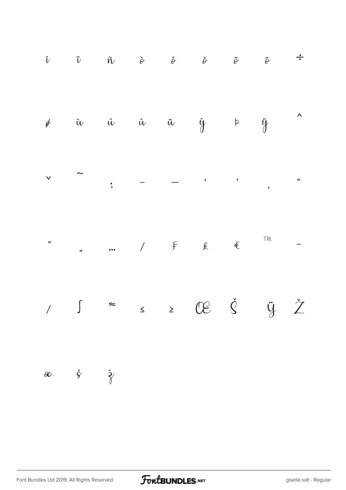